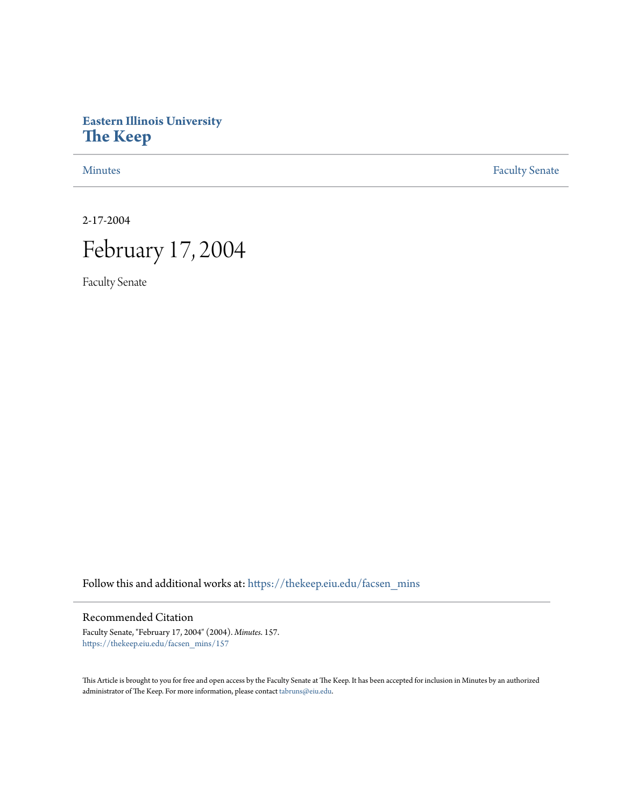# **Eastern Illinois University [The Keep](https://thekeep.eiu.edu?utm_source=thekeep.eiu.edu%2Ffacsen_mins%2F157&utm_medium=PDF&utm_campaign=PDFCoverPages)**

[Minutes](https://thekeep.eiu.edu/facsen_mins?utm_source=thekeep.eiu.edu%2Ffacsen_mins%2F157&utm_medium=PDF&utm_campaign=PDFCoverPages) **[Faculty Senate](https://thekeep.eiu.edu/fac_senate?utm_source=thekeep.eiu.edu%2Ffacsen_mins%2F157&utm_medium=PDF&utm_campaign=PDFCoverPages)** 

2-17-2004

# February 17, 2004

Faculty Senate

Follow this and additional works at: [https://thekeep.eiu.edu/facsen\\_mins](https://thekeep.eiu.edu/facsen_mins?utm_source=thekeep.eiu.edu%2Ffacsen_mins%2F157&utm_medium=PDF&utm_campaign=PDFCoverPages)

# Recommended Citation

Faculty Senate, "February 17, 2004" (2004). *Minutes*. 157. [https://thekeep.eiu.edu/facsen\\_mins/157](https://thekeep.eiu.edu/facsen_mins/157?utm_source=thekeep.eiu.edu%2Ffacsen_mins%2F157&utm_medium=PDF&utm_campaign=PDFCoverPages)

This Article is brought to you for free and open access by the Faculty Senate at The Keep. It has been accepted for inclusion in Minutes by an authorized administrator of The Keep. For more information, please contact [tabruns@eiu.edu.](mailto:tabruns@eiu.edu)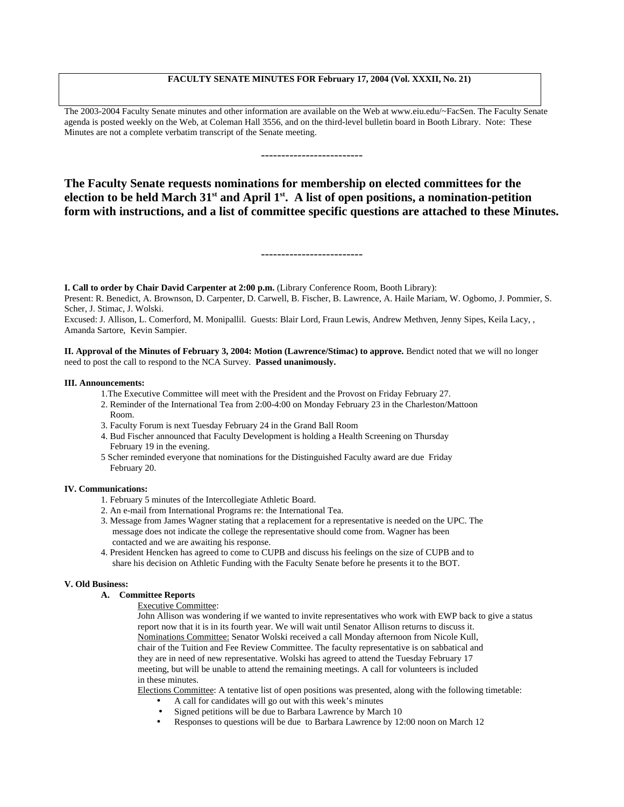# **FACULTY SENATE MINUTES FOR February 17, 2004 (Vol. XXXII, No. 21)**

The 2003-2004 Faculty Senate minutes and other information are available on the Web at www.eiu.edu/~FacSen. The Faculty Senate agenda is posted weekly on the Web, at Coleman Hall 3556, and on the third-level bulletin board in Booth Library. Note: These Minutes are not a complete verbatim transcript of the Senate meeting.

**The Faculty Senate requests nominations for membership on elected committees for the** election to be held March 31<sup>st</sup> and April 1<sup>st</sup>. A list of open positions, a nomination-petition **form with instructions, and a list of committee specific questions are attached to these Minutes.**

-------------------------

**I. Call to order by Chair David Carpenter at 2:00 p.m.** (Library Conference Room, Booth Library):

Present: R. Benedict, A. Brownson, D. Carpenter, D. Carwell, B. Fischer, B. Lawrence, A. Haile Mariam, W. Ogbomo, J. Pommier, S. Scher, J. Stimac, J. Wolski.

Excused: J. Allison, L. Comerford, M. Monipallil. Guests: Blair Lord, Fraun Lewis, Andrew Methven, Jenny Sipes, Keila Lacy, , Amanda Sartore, Kevin Sampier.

**II. Approval of the Minutes of February 3, 2004: Motion (Lawrence/Stimac) to approve.** Bendict noted that we will no longer need to post the call to respond to the NCA Survey. **Passed unanimously.**

#### **III. Announcements:**

- 1.The Executive Committee will meet with the President and the Provost on Friday February 27.
- 2. Reminder of the International Tea from 2:00-4:00 on Monday February 23 in the Charleston/Mattoon Room.
- 3. Faculty Forum is next Tuesday February 24 in the Grand Ball Room
- 4. Bud Fischer announced that Faculty Development is holding a Health Screening on Thursday February 19 in the evening.
- 5 Scher reminded everyone that nominations for the Distinguished Faculty award are due Friday February 20.

#### **IV. Communications:**

- 1. February 5 minutes of the Intercollegiate Athletic Board.
- 2. An e-mail from International Programs re: the International Tea.
- 3. Message from James Wagner stating that a replacement for a representative is needed on the UPC. The message does not indicate the college the representative should come from. Wagner has been contacted and we are awaiting his response.
- 4. President Hencken has agreed to come to CUPB and discuss his feelings on the size of CUPB and to share his decision on Athletic Funding with the Faculty Senate before he presents it to the BOT.

#### **V. Old Business:**

## **A. Committee Reports**

Executive Committee:

John Allison was wondering if we wanted to invite representatives who work with EWP back to give a status report now that it is in its fourth year. We will wait until Senator Allison returns to discuss it. Nominations Committee: Senator Wolski received a call Monday afternoon from Nicole Kull, chair of the Tuition and Fee Review Committee. The faculty representative is on sabbatical and they are in need of new representative. Wolski has agreed to attend the Tuesday February 17 meeting, but will be unable to attend the remaining meetings. A call for volunteers is included in these minutes.

Elections Committee: A tentative list of open positions was presented, along with the following timetable:

- A call for candidates will go out with this week's minutes
	- Signed petitions will be due to Barbara Lawrence by March 10
- Responses to questions will be due to Barbara Lawrence by 12:00 noon on March 12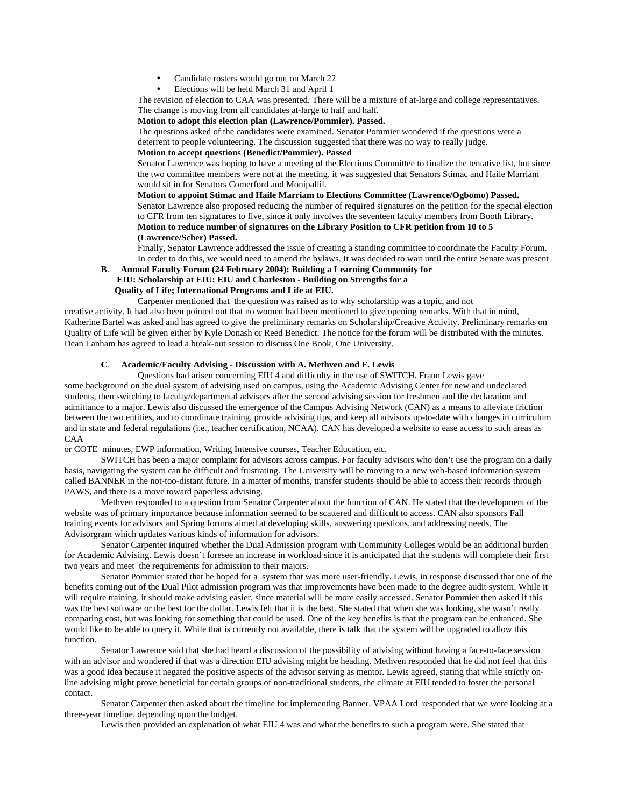- Candidate rosters would go out on March 22
- Elections will be held March 31 and April 1

The revision of election to CAA was presented. There will be a mixture of at-large and college representatives. The change is moving from all candidates at-large to half and half.

# **Motion to adopt this election plan (Lawrence/Pommier). Passed.**

The questions asked of the candidates were examined. Senator Pommier wondered if the questions were a deterrent to people volunteering. The discussion suggested that there was no way to really judge.

**Motion to accept questions (Benedict/Pommier). Passed**

Senator Lawrence was hoping to have a meeting of the Elections Committee to finalize the tentative list, but since the two committee members were not at the meeting, it was suggested that Senators Stimac and Haile Marriam would sit in for Senators Comerford and Monipallil.

**Motion to appoint Stimac and Haile Marriam to Elections Committee (Lawrence/Ogbomo) Passed.** Senator Lawrence also proposed reducing the number of required signatures on the petition for the special election to CFR from ten signatures to five, since it only involves the seventeen faculty members from Booth Library. **Motion to reduce number of signatures on the Library Position to CFR petition from 10 to 5 (Lawrence/Scher) Passed.**

Finally, Senator Lawrence addressed the issue of creating a standing committee to coordinate the Faculty Forum. In order to do this, we would need to amend the bylaws. It was decided to wait until the entire Senate was present

**B**. **Annual Faculty Forum (24 February 2004): Building a Learning Community for EIU: Scholarship at EIU: EIU and Charleston - Building on Strengths for a**

# **Quality of Life; International Programs and Life at EIU.**

Carpenter mentioned that the question was raised as to why scholarship was a topic, and not

creative activity. It had also been pointed out that no women had been mentioned to give opening remarks. With that in mind, Katherine Bartel was asked and has agreed to give the preliminary remarks on Scholarship/Creative Activity. Preliminary remarks on Quality of Life will be given either by Kyle Donash or Reed Benedict. The notice for the forum will be distributed with the minutes. Dean Lanham has agreed to lead a break-out session to discuss One Book, One University.

# **C**. **Academic/Faculty Advising - Discussion with A. Methven and F. Lewis**

Questions had arisen concerning EIU 4 and difficulty in the use of SWITCH. Fraun Lewis gave some background on the dual system of advising used on campus, using the Academic Advising Center for new and undeclared students, then switching to faculty/departmental advisors after the second advising session for freshmen and the declaration and admittance to a major. Lewis also discussed the emergence of the Campus Advising Network (CAN) as a means to alleviate friction between the two entities, and to coordinate training, provide advising tips, and keep all advisors up-to-date with changes in curriculum and in state and federal regulations (i.e., teacher certification, NCAA). CAN has developed a website to ease access to such areas as CAA

or COTE minutes, EWP information, Writing Intensive courses, Teacher Education, etc.

SWITCH has been a major complaint for advisors across campus. For faculty advisors who don't use the program on a daily basis, navigating the system can be difficult and frustrating. The University will be moving to a new web-based information system called BANNER in the not-too-distant future. In a matter of months, transfer students should be able to access their records through PAWS, and there is a move toward paperless advising.

Methven responded to a question from Senator Carpenter about the function of CAN. He stated that the development of the website was of primary importance because information seemed to be scattered and difficult to access. CAN also sponsors Fall training events for advisors and Spring forums aimed at developing skills, answering questions, and addressing needs. The Advisorgram which updates various kinds of information for advisors.

Senator Carpenter inquired whether the Dual Admission program with Community Colleges would be an additional burden for Academic Advising. Lewis doesn't foresee an increase in workload since it is anticipated that the students will complete their first two years and meet the requirements for admission to their majors.

Senator Pommier stated that he hoped for a system that was more user-friendly. Lewis, in response discussed that one of the benefits coming out of the Dual Pilot admission program was that improvements have been made to the degree audit system. While it will require training, it should make advising easier, since material will be more easily accessed. Senator Pommier then asked if this was the best software or the best for the dollar. Lewis felt that it is the best. She stated that when she was looking, she wasn't really comparing cost, but was looking for something that could be used. One of the key benefits is that the program can be enhanced. She would like to be able to query it. While that is currently not available, there is talk that the system will be upgraded to allow this function.

Senator Lawrence said that she had heard a discussion of the possibility of advising without having a face-to-face session with an advisor and wondered if that was a direction EIU advising might be heading. Methven responded that he did not feel that this was a good idea because it negated the positive aspects of the advisor serving as mentor. Lewis agreed, stating that while strictly online advising might prove beneficial for certain groups of non-traditional students, the climate at EIU tended to foster the personal contact.

Senator Carpenter then asked about the timeline for implementing Banner. VPAA Lord responded that we were looking at a three-year timeline, depending upon the budget.

Lewis then provided an explanation of what EIU 4 was and what the benefits to such a program were. She stated that